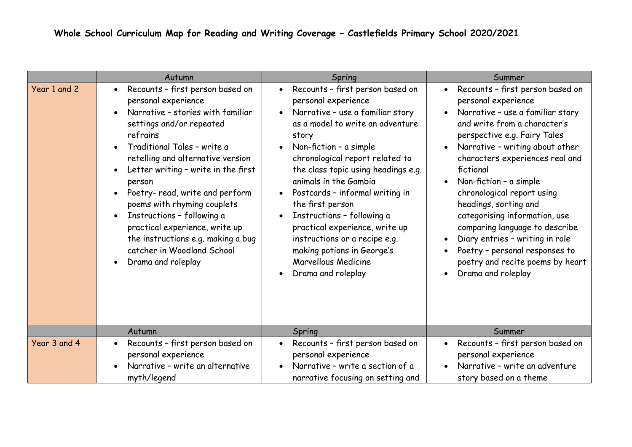|              | Autumn                                                                                                                                                                                                                                                                                                                                                                                                                                                                                | Spring                                                                                                                                                                                                                                                                                                                                                                                                                                                                                                                       | Summer                                                                                                                                                                                                                                                                                                                                                                                                                                                                                                                                                                                                          |  |
|--------------|---------------------------------------------------------------------------------------------------------------------------------------------------------------------------------------------------------------------------------------------------------------------------------------------------------------------------------------------------------------------------------------------------------------------------------------------------------------------------------------|------------------------------------------------------------------------------------------------------------------------------------------------------------------------------------------------------------------------------------------------------------------------------------------------------------------------------------------------------------------------------------------------------------------------------------------------------------------------------------------------------------------------------|-----------------------------------------------------------------------------------------------------------------------------------------------------------------------------------------------------------------------------------------------------------------------------------------------------------------------------------------------------------------------------------------------------------------------------------------------------------------------------------------------------------------------------------------------------------------------------------------------------------------|--|
| Year 1 and 2 | Recounts - first person based on<br>personal experience<br>Narrative - stories with familiar<br>settings and/or repeated<br>refrains<br>Traditional Tales - write a<br>retelling and alternative version<br>Letter writing - write in the first<br>person<br>Poetry- read, write and perform<br>poems with rhyming couplets<br>Instructions - following a<br>practical experience, write up<br>the instructions e.g. making a bug<br>catcher in Woodland School<br>Drama and roleplay | Recounts - first person based on<br>$\bullet$<br>personal experience<br>Narrative - use a familiar story<br>as a model to write an adventure<br>story<br>Non-fiction - a simple<br>chronological report related to<br>the class topic using headings e.g.<br>animals in the Gambia<br>Postcards - informal writing in<br>the first person<br>Instructions - following a<br>practical experience, write up<br>instructions or a recipe e.g.<br>making potions in George's<br><b>Marvellous Medicine</b><br>Drama and roleplay | Recounts - first person based on<br>$\bullet$<br>personal experience<br>Narrative - use a familiar story<br>$\bullet$<br>and write from a character's<br>perspective e.g. Fairy Tales<br>Narrative - writing about other<br>$\bullet$<br>characters experiences real and<br>fictional<br>Non-fiction - a simple<br>$\bullet$<br>chronological report using<br>headings, sorting and<br>categorising information, use<br>comparing language to describe<br>Diary entries - writing in role<br>$\bullet$<br>Poetry - personal responses to<br>poetry and recite poems by heart<br>Drama and roleplay<br>$\bullet$ |  |
|              | Autumn                                                                                                                                                                                                                                                                                                                                                                                                                                                                                | Spring                                                                                                                                                                                                                                                                                                                                                                                                                                                                                                                       | Summer                                                                                                                                                                                                                                                                                                                                                                                                                                                                                                                                                                                                          |  |
| Year 3 and 4 | Recounts - first person based on<br>personal experience<br>Narrative - write an alternative<br>myth/legend                                                                                                                                                                                                                                                                                                                                                                            | Recounts - first person based on<br>personal experience<br>Narrative - write a section of a<br>narrative focusing on setting and                                                                                                                                                                                                                                                                                                                                                                                             | Recounts - first person based on<br>$\bullet$<br>personal experience<br>Narrative - write an adventure<br>story based on a theme                                                                                                                                                                                                                                                                                                                                                                                                                                                                                |  |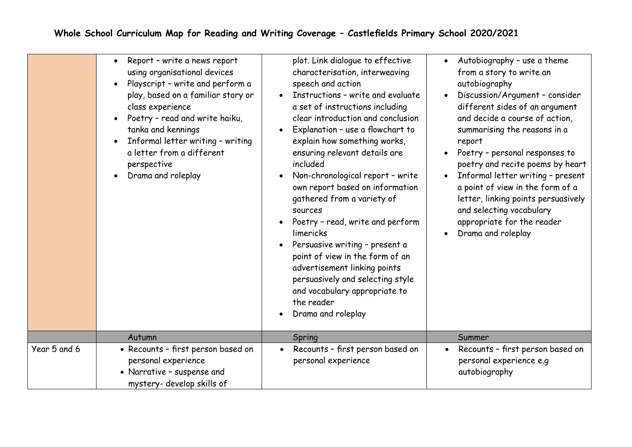|              | Report - write a news report<br>using organisational devices<br>Playscript - write and perform a<br>play, based on a familiar story or<br>class experience<br>Poetry - read and write haiku,<br>$\bullet$<br>tanka and kennings<br>Informal letter writing - writing<br>$\bullet$<br>a letter from a different<br>perspective<br>Drama and roleplay<br>$\bullet$ | plot. Link dialogue to effective<br>characterisation, interweaving<br>speech and action<br>Instructions - write and evaluate<br>$\bullet$<br>a set of instructions including<br>clear introduction and conclusion<br>Explanation - use a flowchart to<br>explain how something works,<br>ensuring relevant details are<br>included<br>Non-chronological report - write<br>$\bullet$<br>own report based on information<br>gathered from a variety of<br>sources<br>Poetry - read, write and perform<br>$\bullet$<br>limericks<br>Persuasive writing - present a<br>$\bullet$<br>point of view in the form of an<br>advertisement linking points<br>persuasively and selecting style<br>and vocabulary appropriate to<br>the reader<br>Drama and roleplay | Autobiography - use a theme<br>from a story to write an<br>autobiography<br>Discussion/Argument - consider<br>different sides of an argument<br>and decide a course of action,<br>summarising the reasons in a<br>report<br>Poetry - personal responses to<br>poetry and recite poems by heart<br>Informal letter writing - present<br>a point of view in the form of a<br>letter, linking points persuasively<br>and selecting vocabulary<br>appropriate for the reader<br>Drama and roleplay |
|--------------|------------------------------------------------------------------------------------------------------------------------------------------------------------------------------------------------------------------------------------------------------------------------------------------------------------------------------------------------------------------|----------------------------------------------------------------------------------------------------------------------------------------------------------------------------------------------------------------------------------------------------------------------------------------------------------------------------------------------------------------------------------------------------------------------------------------------------------------------------------------------------------------------------------------------------------------------------------------------------------------------------------------------------------------------------------------------------------------------------------------------------------|------------------------------------------------------------------------------------------------------------------------------------------------------------------------------------------------------------------------------------------------------------------------------------------------------------------------------------------------------------------------------------------------------------------------------------------------------------------------------------------------|
|              | Autumn                                                                                                                                                                                                                                                                                                                                                           | Spring                                                                                                                                                                                                                                                                                                                                                                                                                                                                                                                                                                                                                                                                                                                                                   | Summer                                                                                                                                                                                                                                                                                                                                                                                                                                                                                         |
| Year 5 and 6 | • Recounts - first person based on<br>personal experience<br>• Narrative - suspense and<br>mystery- develop skills of                                                                                                                                                                                                                                            | Recounts - first person based on<br>personal experience                                                                                                                                                                                                                                                                                                                                                                                                                                                                                                                                                                                                                                                                                                  | Recounts - first person based on<br>personal experience e.g<br>autobiography                                                                                                                                                                                                                                                                                                                                                                                                                   |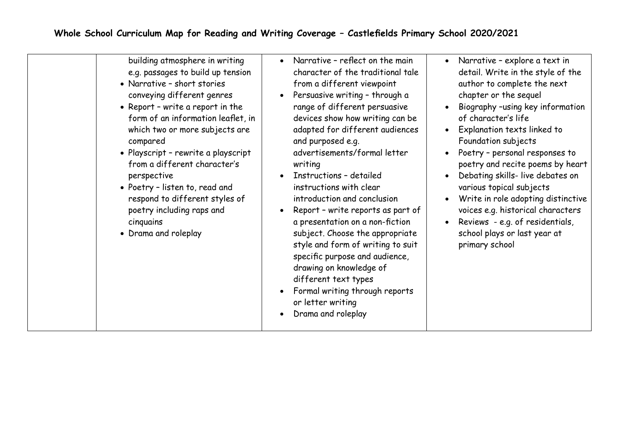| building atmosphere in writing<br>e.g. passages to build up tension<br>• Narrative - short stories<br>conveying different genres<br>• Report - write a report in the<br>form of an information leaflet, in<br>which two or more subjects are<br>compared<br>• Playscript - rewrite a playscript<br>from a different character's<br>perspective<br>• Poetry - listen to, read and<br>respond to different styles of<br>poetry including raps and<br>cinquains<br>• Drama and roleplay | Narrative - reflect on the main<br>$\bullet$<br>character of the traditional tale<br>from a different viewpoint<br>Persuasive writing - through a<br>range of different persuasive<br>devices show how writing can be<br>adapted for different audiences<br>and purposed e.g.<br>advertisements/formal letter<br>writing<br>Instructions - detailed<br>instructions with clear<br>introduction and conclusion<br>Report - write reports as part of<br>a presentation on a non-fiction<br>subject. Choose the appropriate<br>style and form of writing to suit<br>specific purpose and audience,<br>drawing on knowledge of<br>different text types<br>Formal writing through reports<br>or letter writing<br>Drama and roleplay | Narrative - explore a text in<br>$\bullet$<br>detail. Write in the style of the<br>author to complete the next<br>chapter or the sequel<br>Biography -using key information<br>$\bullet$<br>of character's life<br>Explanation texts linked to<br>$\bullet$<br>Foundation subjects<br>Poetry - personal responses to<br>poetry and recite poems by heart<br>Debating skills- live debates on<br>various topical subjects<br>Write in role adopting distinctive<br>voices e.g. historical characters<br>Reviews - e.g. of residentials,<br>school plays or last year at<br>primary school |
|--------------------------------------------------------------------------------------------------------------------------------------------------------------------------------------------------------------------------------------------------------------------------------------------------------------------------------------------------------------------------------------------------------------------------------------------------------------------------------------|---------------------------------------------------------------------------------------------------------------------------------------------------------------------------------------------------------------------------------------------------------------------------------------------------------------------------------------------------------------------------------------------------------------------------------------------------------------------------------------------------------------------------------------------------------------------------------------------------------------------------------------------------------------------------------------------------------------------------------|------------------------------------------------------------------------------------------------------------------------------------------------------------------------------------------------------------------------------------------------------------------------------------------------------------------------------------------------------------------------------------------------------------------------------------------------------------------------------------------------------------------------------------------------------------------------------------------|
|--------------------------------------------------------------------------------------------------------------------------------------------------------------------------------------------------------------------------------------------------------------------------------------------------------------------------------------------------------------------------------------------------------------------------------------------------------------------------------------|---------------------------------------------------------------------------------------------------------------------------------------------------------------------------------------------------------------------------------------------------------------------------------------------------------------------------------------------------------------------------------------------------------------------------------------------------------------------------------------------------------------------------------------------------------------------------------------------------------------------------------------------------------------------------------------------------------------------------------|------------------------------------------------------------------------------------------------------------------------------------------------------------------------------------------------------------------------------------------------------------------------------------------------------------------------------------------------------------------------------------------------------------------------------------------------------------------------------------------------------------------------------------------------------------------------------------------|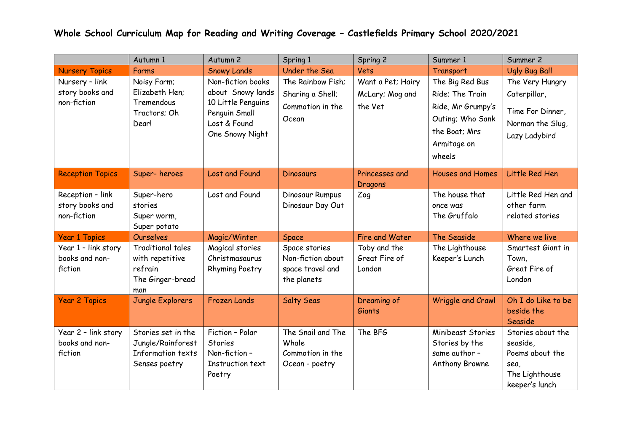## **Whole School Curriculum Map for Reading and Writing Coverage – Castlefields Primary School 2020/2021**

|                                                    | Autumn 1                                                                          | Autumn 2                                                                                                         | Spring 1                                                              | Spring 2                                        | Summer 1                                                                                                              | Summer 2                                                                                     |
|----------------------------------------------------|-----------------------------------------------------------------------------------|------------------------------------------------------------------------------------------------------------------|-----------------------------------------------------------------------|-------------------------------------------------|-----------------------------------------------------------------------------------------------------------------------|----------------------------------------------------------------------------------------------|
| <b>Nursery Topics</b>                              | Farms                                                                             | <b>Snowy Lands</b>                                                                                               | Under the Sea                                                         | Vets                                            | Transport                                                                                                             | <b>Ugly Bug Ball</b>                                                                         |
| Nursery - link<br>story books and<br>non-fiction   | Noisy Farm;<br>Elizabeth Hen;<br>Tremendous<br>Tractors; Oh<br>Dear!              | Non-fiction books<br>about Snowy lands<br>10 Little Penguins<br>Penguin Small<br>Lost & Found<br>One Snowy Night | The Rainbow Fish;<br>Sharing a Shell;<br>Commotion in the<br>Ocean    | Want a Pet; Hairy<br>McLary; Mog and<br>the Vet | The Big Red Bus<br>Ride; The Train<br>Ride, Mr Grumpy's<br>Outing; Who Sank<br>the Boat; Mrs<br>Armitage on<br>wheels | The Very Hungry<br>Caterpillar,<br>Time For Dinner,<br>Norman the Slug,<br>Lazy Ladybird     |
| <b>Reception Topics</b>                            | Super-heroes                                                                      | Lost and Found                                                                                                   | <b>Dinosaurs</b>                                                      | Princesses and<br>Dragons                       | <b>Houses and Homes</b>                                                                                               | Little Red Hen                                                                               |
| Reception - link<br>story books and<br>non-fiction | Super-hero<br>stories<br>Super worm,<br>Super potato                              | Lost and Found                                                                                                   | Dinosaur Rumpus<br>Dinosaur Day Out                                   | Zog                                             | The house that<br>once was<br>The Gruffalo                                                                            | Little Red Hen and<br>other farm<br>related stories                                          |
| <b>Year 1 Topics</b>                               | <b>Ourselves</b>                                                                  | Magic/Winter                                                                                                     | Space                                                                 | Fire and Water                                  | The Seaside                                                                                                           | Where we live                                                                                |
| Year 1 - link story<br>books and non-<br>fiction   | <b>Traditional tales</b><br>with repetitive<br>refrain<br>The Ginger-bread<br>man | Magical stories<br>Christmasaurus<br><b>Rhyming Poetry</b>                                                       | Space stories<br>Non-fiction about<br>space travel and<br>the planets | Toby and the<br>Great Fire of<br>London         | The Lighthouse<br>Keeper's Lunch                                                                                      | Smartest Giant in<br>Town,<br>Great Fire of<br>London                                        |
| <b>Year 2 Topics</b>                               | Jungle Explorers                                                                  | <b>Frozen Lands</b>                                                                                              | <b>Salty Seas</b>                                                     | Dreaming of<br>Giants                           | <b>Wriggle and Crawl</b>                                                                                              | Oh I do Like to be<br>beside the<br>Seaside                                                  |
| Year 2 - link story<br>books and non-<br>fiction   | Stories set in the<br>Jungle/Rainforest<br>Information texts<br>Senses poetry     | Fiction - Polar<br><b>Stories</b><br>Non-fiction-<br>Instruction text<br>Poetry                                  | The Snail and The<br>Whale<br>Commotion in the<br>Ocean - poetry      | The BFG                                         | Minibeast Stories<br>Stories by the<br>same author -<br>Anthony Browne                                                | Stories about the<br>seaside,<br>Poems about the<br>sea,<br>The Lighthouse<br>keeper's lunch |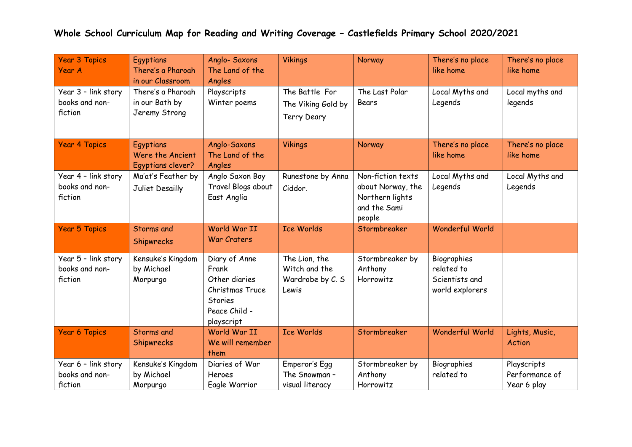## **Whole School Curriculum Map for Reading and Writing Coverage – Castlefields Primary School 2020/2021**

| <b>Year 3 Topics</b><br>Year A                   | Egyptians<br>There's a Pharoah<br>in our Classroom   | Anglo- Saxons<br>The Land of the<br>Angles                                                                  | <b>Vikings</b>                                              | Norway                                                                              | There's no place<br>like home                                  | There's no place<br>like home                |
|--------------------------------------------------|------------------------------------------------------|-------------------------------------------------------------------------------------------------------------|-------------------------------------------------------------|-------------------------------------------------------------------------------------|----------------------------------------------------------------|----------------------------------------------|
| Year 3 - link story<br>books and non-<br>fiction | There's a Pharoah<br>in our Bath by<br>Jeremy Strong | Playscripts<br>Winter poems                                                                                 | The Battle For<br>The Viking Gold by<br><b>Terry Deary</b>  | The Last Polar<br>Bears                                                             | Local Myths and<br>Legends                                     | Local myths and<br>legends                   |
| <b>Year 4 Topics</b>                             | Egyptians<br>Were the Ancient<br>Egyptians clever?   | Anglo-Saxons<br>The Land of the<br>Angles                                                                   | <b>Vikings</b>                                              | Norway                                                                              | There's no place<br>like home                                  | There's no place<br>like home                |
| Year 4 - link story<br>books and non-<br>fiction | Ma'at's Feather by<br>Juliet Desailly                | Anglo Saxon Boy<br>Travel Blogs about<br>East Anglia                                                        | Runestone by Anna<br>Ciddor.                                | Non-fiction texts<br>about Norway, the<br>Northern lights<br>and the Sami<br>people | Local Myths and<br>Legends                                     | Local Myths and<br>Legends                   |
| <b>Year 5 Topics</b>                             | Storms and<br>Shipwrecks                             | World War II<br><b>War Craters</b>                                                                          | <b>Ice Worlds</b>                                           | Stormbreaker                                                                        | <b>Wonderful World</b>                                         |                                              |
| Year 5 - link story<br>books and non-<br>fiction | Kensuke's Kingdom<br>by Michael<br>Morpurgo          | Diary of Anne<br>Frank<br>Other diaries<br>Christmas Truce<br><b>Stories</b><br>Peace Child -<br>playscript | The Lion, the<br>Witch and the<br>Wardrobe by C. S<br>Lewis | Stormbreaker by<br>Anthony<br>Horrowitz                                             | Biographies<br>related to<br>Scientists and<br>world explorers |                                              |
| <b>Year 6 Topics</b>                             | Storms and<br>Shipwrecks                             | World War II<br>We will remember<br>them                                                                    | <b>Ice Worlds</b>                                           | Stormbreaker                                                                        | <b>Wonderful World</b>                                         | Lights, Music,<br><b>Action</b>              |
| Year 6 - link story<br>books and non-<br>fiction | Kensuke's Kingdom<br>by Michael<br>Morpurgo          | Diaries of War<br>Heroes<br>Eagle Warrior                                                                   | Emperor's Egg<br>The Snowman -<br>visual literacy           | Stormbreaker by<br>Anthony<br>Horrowitz                                             | Biographies<br>related to                                      | Playscripts<br>Performance of<br>Year 6 play |